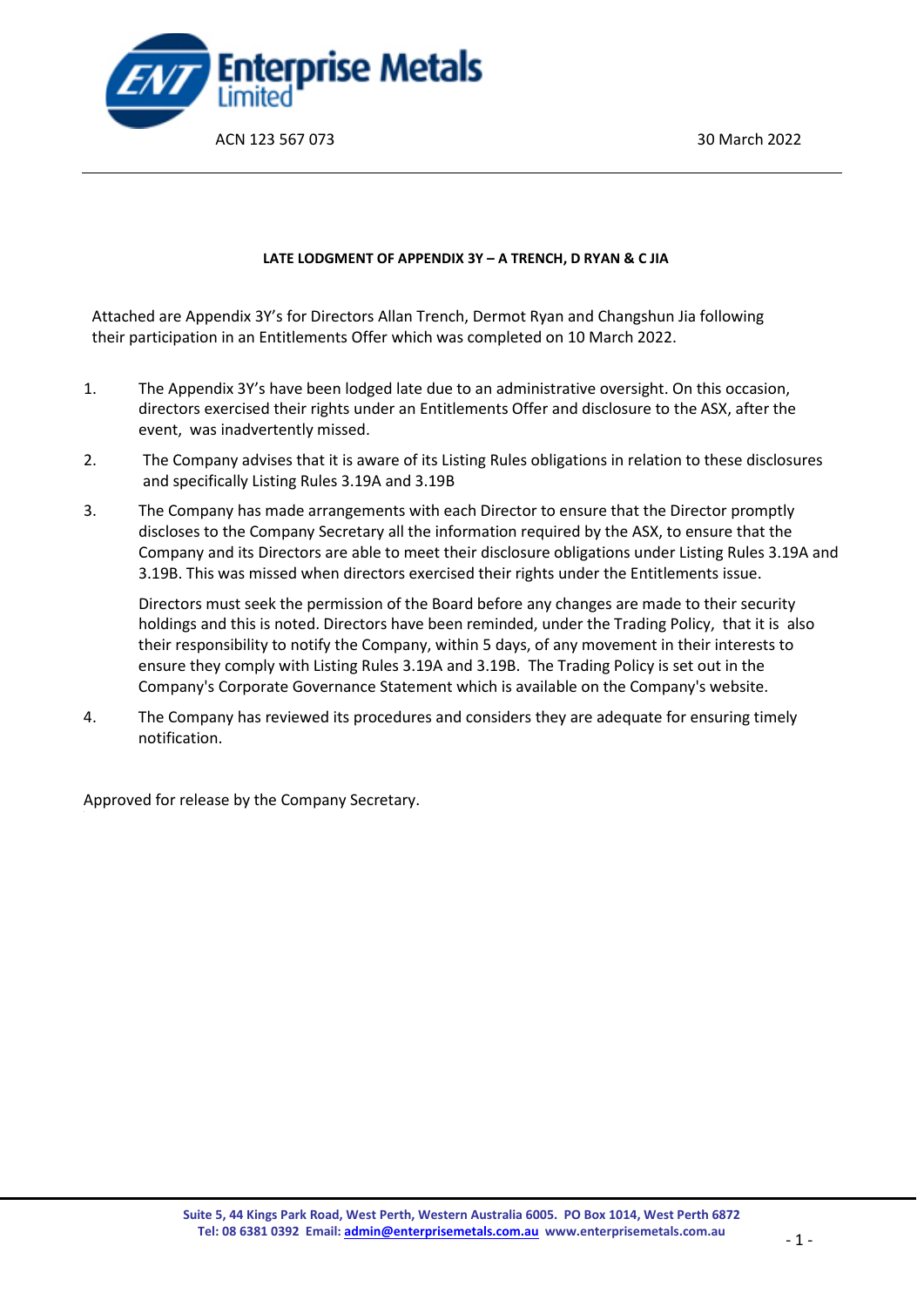

#### **LATE LODGMENT OF APPENDIX 3Y – A TRENCH, D RYAN & C JIA**

Attached are Appendix 3Y's for Directors Allan Trench, Dermot Ryan and Changshun Jia following their participation in an Entitlements Offer which was completed on 10 March 2022.

- 1. The Appendix 3Y's have been lodged late due to an administrative oversight. On this occasion, directors exercised their rights under an Entitlements Offer and disclosure to the ASX, after the event, was inadvertently missed.
- 2. The Company advises that it is aware of its Listing Rules obligations in relation to these disclosures and specifically Listing Rules 3.19A and 3.19B
- 3. The Company has made arrangements with each Director to ensure that the Director promptly discloses to the Company Secretary all the information required by the ASX, to ensure that the Company and its Directors are able to meet their disclosure obligations under Listing Rules 3.19A and 3.19B. This was missed when directors exercised their rights under the Entitlements issue.

Directors must seek the permission of the Board before any changes are made to their security holdings and this is noted. Directors have been reminded, under the Trading Policy, that it is also their responsibility to notify the Company, within 5 days, of any movement in their interests to ensure they comply with Listing Rules 3.19A and 3.19B. The Trading Policy is set out in the Company's Corporate Governance Statement which is available on the Company's website.

4. The Company has reviewed its procedures and considers they are adequate for ensuring timely notification.

Approved for release by the Company Secretary.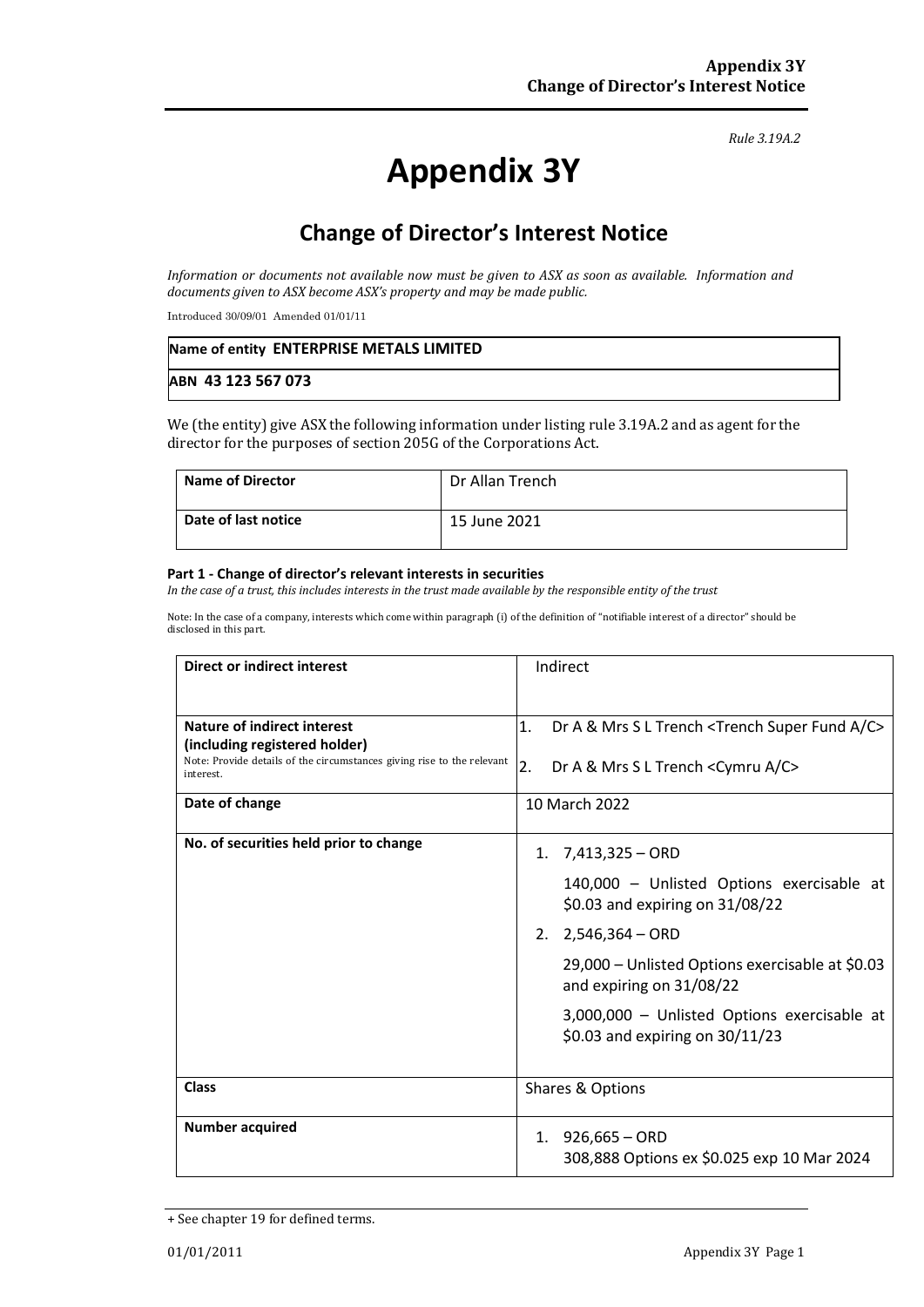#### *Rule 3.19A.2*

# **Appendix 3Y**

# **Change of Director's Interest Notice**

*Information or documents not available now must be given to ASX as soon as available. Information and documents given to ASX become ASX's property and may be made public.*

Introduced 30/09/01 Amended 01/01/11

| Name of entity ENTERPRISE METALS LIMITED |  |
|------------------------------------------|--|
| ABN 43 123 567 073                       |  |

We (the entity) give ASX the following information under listing rule 3.19A.2 and as agent for the director for the purposes of section 205G of the Corporations Act.

| <b>Name of Director</b> | Dr Allan Trench |
|-------------------------|-----------------|
| Date of last notice     | 15 June 2021    |

#### **Part 1 - Change of director's relevant interests in securities**

*In the case of a trust, this includes interests in the trust made available by the responsible entity of the trust*

Note: In the case of a company, interests which come within paragraph (i) of the definition of "notifiable interest of a director" should be disclosed in this part.

| <b>Direct or indirect interest</b>                                                                                   | Indirect                                                                         |
|----------------------------------------------------------------------------------------------------------------------|----------------------------------------------------------------------------------|
|                                                                                                                      |                                                                                  |
| Nature of indirect interest                                                                                          | 1.<br>Dr A & Mrs S L Trench <trench a="" c="" fund="" super=""></trench>         |
| (including registered holder)<br>Note: Provide details of the circumstances giving rise to the relevant<br>interest. | 2.<br>Dr A & Mrs S L Trench <cymru a="" c=""></cymru>                            |
| Date of change                                                                                                       | 10 March 2022                                                                    |
| No. of securities held prior to change                                                                               | 7,413,325 - ORD<br>1.                                                            |
|                                                                                                                      | 140,000 - Unlisted Options exercisable at<br>\$0.03 and expiring on 31/08/22     |
|                                                                                                                      | $2,546,364 - ORD$<br>2.                                                          |
|                                                                                                                      | 29,000 - Unlisted Options exercisable at \$0.03<br>and expiring on 31/08/22      |
|                                                                                                                      | 3,000,000 - Unlisted Options exercisable at<br>\$0.03 and expiring on $30/11/23$ |
| <b>Class</b>                                                                                                         | Shares & Options                                                                 |
| <b>Number acquired</b>                                                                                               | 926,665 - ORD<br>1.<br>308,888 Options ex \$0.025 exp 10 Mar 2024                |

<sup>+</sup> See chapter 19 for defined terms.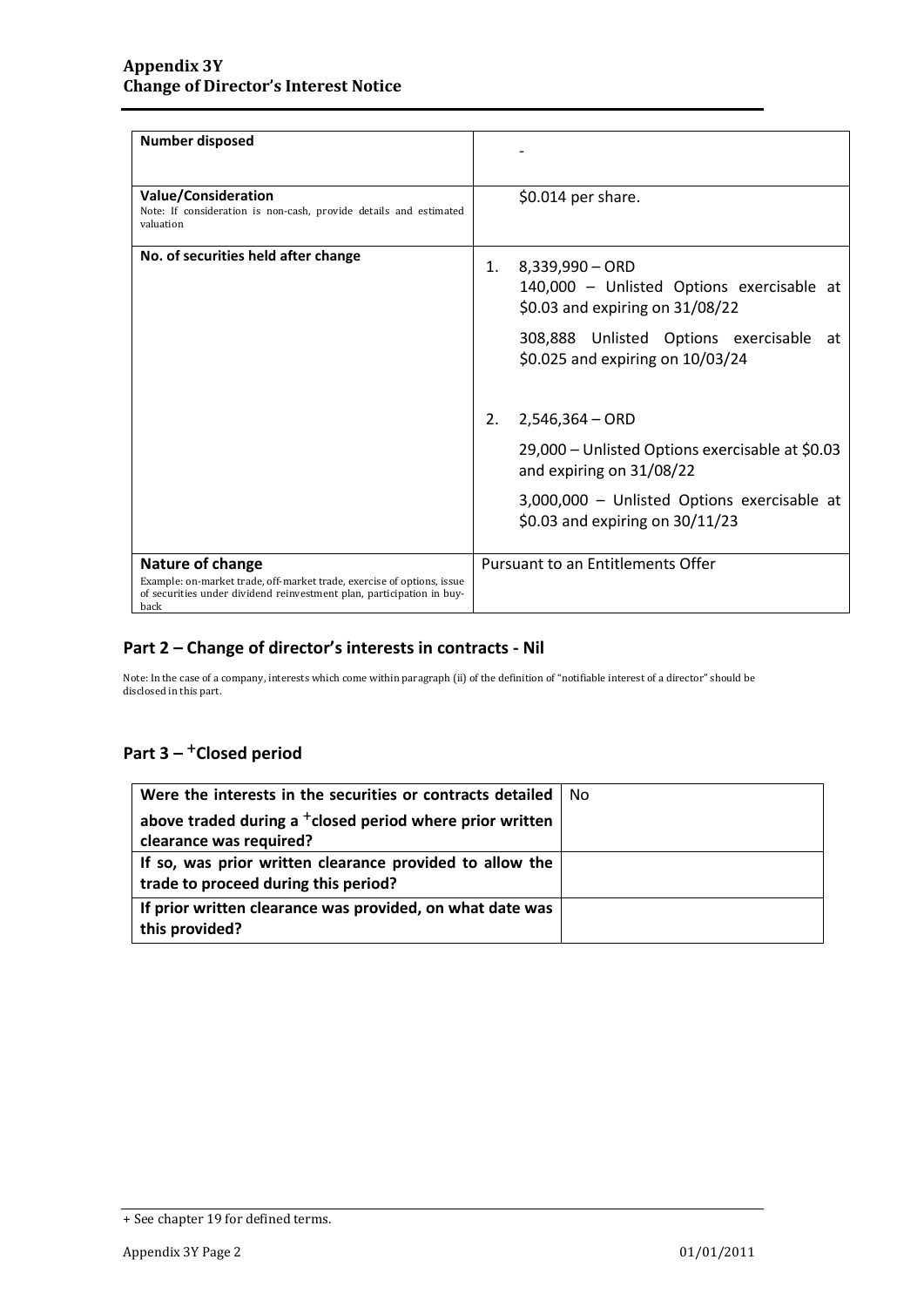| <b>Number disposed</b>                                                                                                                                                      |                                                                                                       |
|-----------------------------------------------------------------------------------------------------------------------------------------------------------------------------|-------------------------------------------------------------------------------------------------------|
| <b>Value/Consideration</b><br>Note: If consideration is non-cash, provide details and estimated<br>valuation                                                                | \$0.014 per share.                                                                                    |
| No. of securities held after change                                                                                                                                         | 8,339,990 - ORD<br>1.<br>140,000 - Unlisted Options exercisable at<br>\$0.03 and expiring on 31/08/22 |
|                                                                                                                                                                             | 308,888 Unlisted Options exercisable at<br>\$0.025 and expiring on 10/03/24                           |
|                                                                                                                                                                             | 2.<br>$2,546,364 - ORD$                                                                               |
|                                                                                                                                                                             | 29,000 – Unlisted Options exercisable at \$0.03<br>and expiring on 31/08/22                           |
|                                                                                                                                                                             | 3,000,000 - Unlisted Options exercisable at<br>\$0.03 and expiring on $30/11/23$                      |
| Nature of change<br>Example: on-market trade, off-market trade, exercise of options, issue<br>of securities under dividend reinvestment plan, participation in buy-<br>back | Pursuant to an Entitlements Offer                                                                     |

### **Part 2 – Change of director's interests in contracts - Nil**

Note: In the case of a company, interests which come within paragraph (ii) of the definition of "notifiable interest of a director" should be disclosed in this part.

## Part 3 – <sup>+</sup>Closed period

| Were the interests in the securities or contracts detailed           | l No |
|----------------------------------------------------------------------|------|
| above traded during a <sup>+</sup> closed period where prior written |      |
| clearance was required?                                              |      |
| If so, was prior written clearance provided to allow the             |      |
| trade to proceed during this period?                                 |      |
| If prior written clearance was provided, on what date was            |      |
| this provided?                                                       |      |

<sup>+</sup> See chapter 19 for defined terms.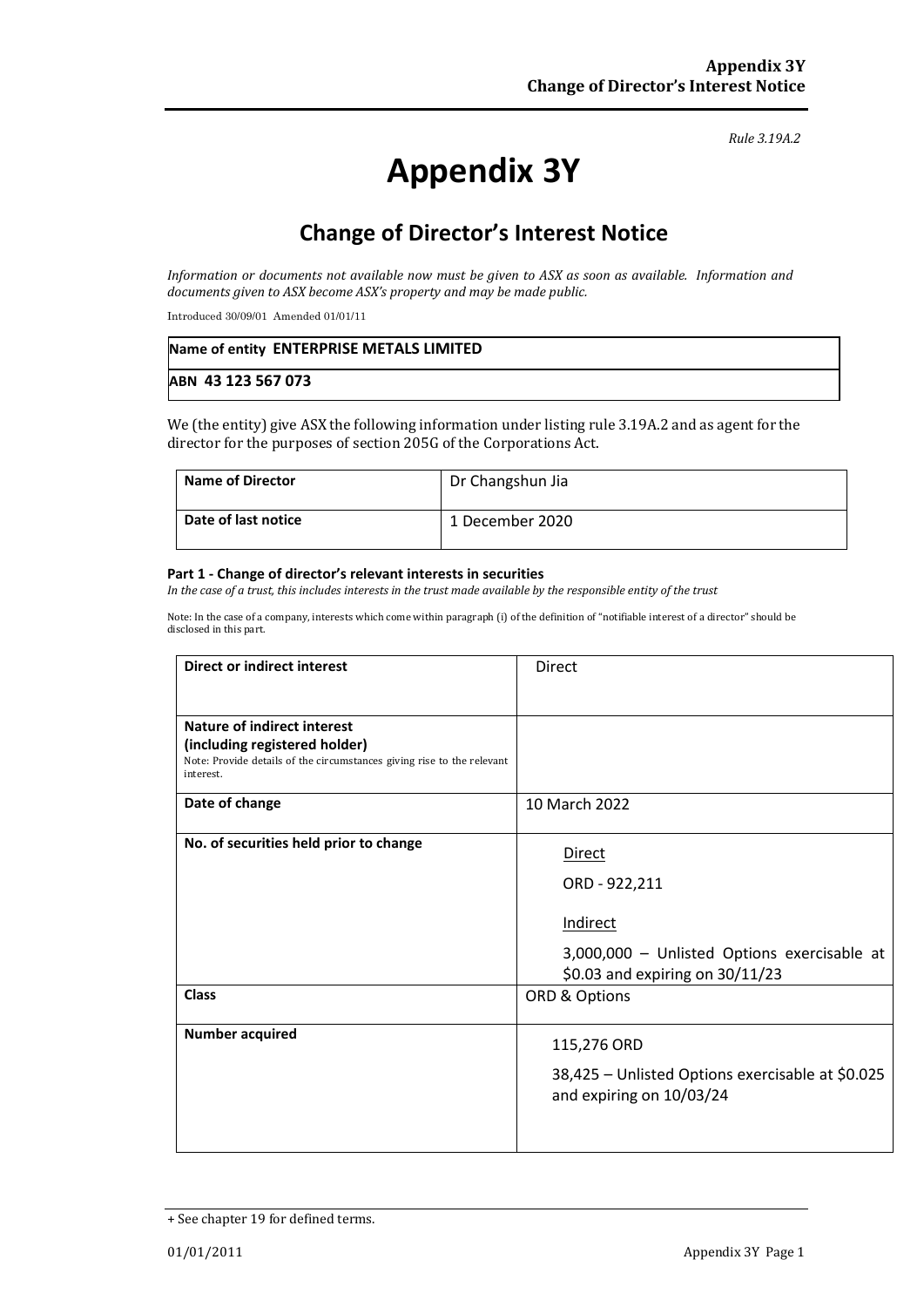#### *Rule 3.19A.2*

# **Appendix 3Y**

# **Change of Director's Interest Notice**

*Information or documents not available now must be given to ASX as soon as available. Information and documents given to ASX become ASX's property and may be made public.*

Introduced 30/09/01 Amended 01/01/11

| Name of entity ENTERPRISE METALS LIMITED |  |
|------------------------------------------|--|
| ABN 43 123 567 073                       |  |

We (the entity) give ASX the following information under listing rule 3.19A.2 and as agent for the director for the purposes of section 205G of the Corporations Act.

| <b>Name of Director</b> | Dr Changshun Jia |
|-------------------------|------------------|
| Date of last notice     | 1 December 2020  |

#### **Part 1 - Change of director's relevant interests in securities**

*In the case of a trust, this includes interests in the trust made available by the responsible entity of the trust*

Note: In the case of a company, interests which come within paragraph (i) of the definition of "notifiable interest of a director" should be disclosed in this part.

| Direct or indirect interest                                                         | <b>Direct</b>                                                                |
|-------------------------------------------------------------------------------------|------------------------------------------------------------------------------|
|                                                                                     |                                                                              |
| Nature of indirect interest                                                         |                                                                              |
| (including registered holder)                                                       |                                                                              |
| Note: Provide details of the circumstances giving rise to the relevant<br>interest. |                                                                              |
| Date of change                                                                      | 10 March 2022                                                                |
| No. of securities held prior to change                                              | <b>Direct</b>                                                                |
|                                                                                     | ORD - 922,211                                                                |
|                                                                                     | Indirect                                                                     |
|                                                                                     | 3,000,000 - Unlisted Options exercisable at                                  |
|                                                                                     | \$0.03 and expiring on 30/11/23                                              |
| <b>Class</b>                                                                        | ORD & Options                                                                |
| <b>Number acquired</b>                                                              | 115,276 ORD                                                                  |
|                                                                                     | 38,425 - Unlisted Options exercisable at \$0.025<br>and expiring on 10/03/24 |
|                                                                                     |                                                                              |

<sup>+</sup> See chapter 19 for defined terms.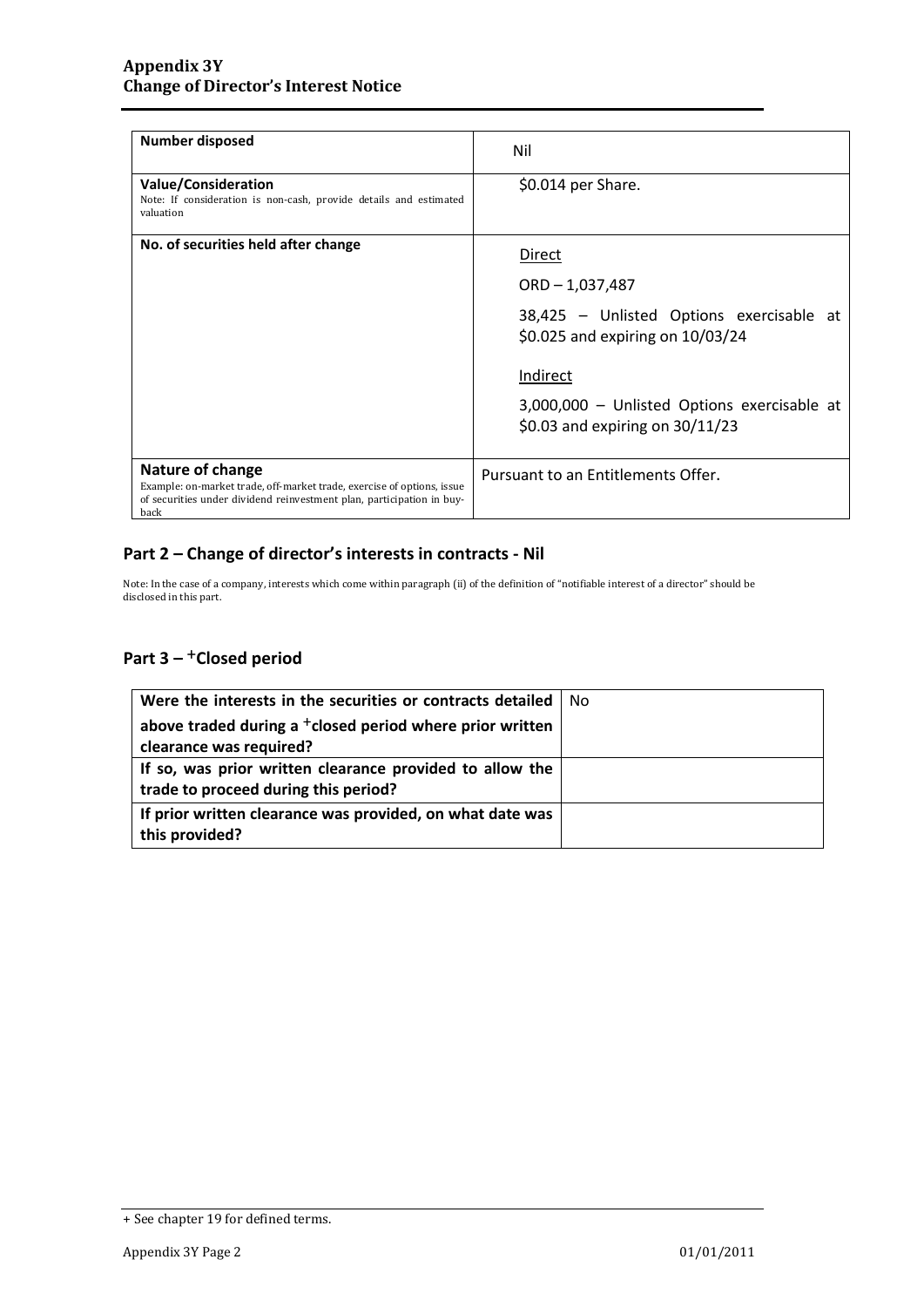| <b>Number disposed</b>                                                                                                                                                      | Nil                                                                                                                                                                                                         |
|-----------------------------------------------------------------------------------------------------------------------------------------------------------------------------|-------------------------------------------------------------------------------------------------------------------------------------------------------------------------------------------------------------|
| <b>Value/Consideration</b><br>Note: If consideration is non-cash, provide details and estimated<br>valuation                                                                | $$0.014$ per Share.                                                                                                                                                                                         |
| No. of securities held after change                                                                                                                                         | Direct<br>$ORD - 1,037,487$<br>38,425 - Unlisted Options exercisable at<br>\$0.025 and expiring on 10/03/24<br>Indirect<br>3,000,000 - Unlisted Options exercisable at<br>\$0.03 and expiring on $30/11/23$ |
| Nature of change<br>Example: on-market trade, off-market trade, exercise of options, issue<br>of securities under dividend reinvestment plan, participation in buy-<br>back | Pursuant to an Entitlements Offer.                                                                                                                                                                          |

### **Part 2 – Change of director's interests in contracts - Nil**

Note: In the case of a company, interests which come within paragraph (ii) of the definition of "notifiable interest of a director" should be disclosed in this part.

## Part 3 – <sup>+</sup>Closed period

| Were the interests in the securities or contracts detailed           | No |
|----------------------------------------------------------------------|----|
| above traded during a <sup>+</sup> closed period where prior written |    |
| clearance was required?                                              |    |
| If so, was prior written clearance provided to allow the             |    |
| trade to proceed during this period?                                 |    |
| If prior written clearance was provided, on what date was            |    |
| this provided?                                                       |    |

<sup>+</sup> See chapter 19 for defined terms.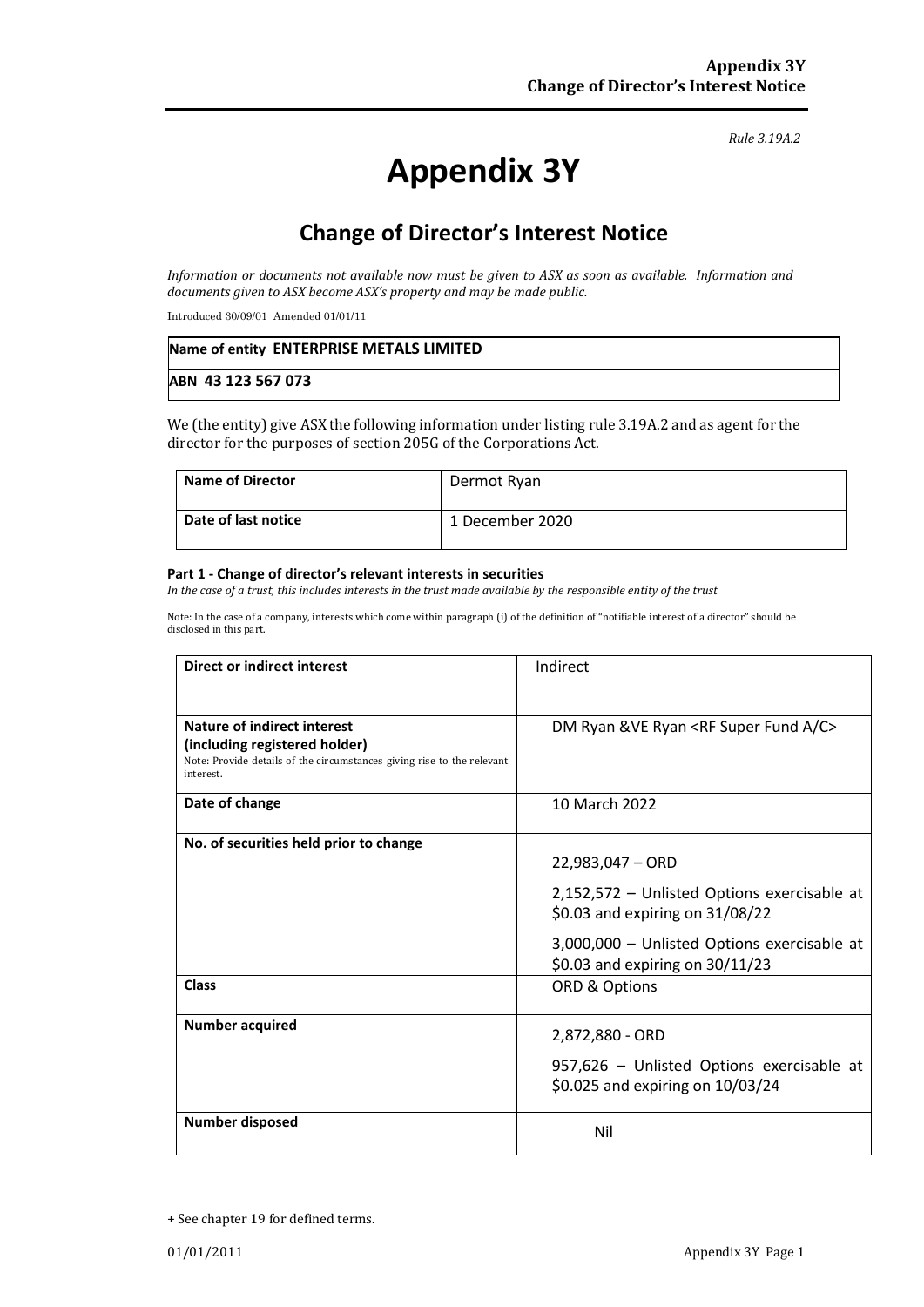#### *Rule 3.19A.2*

# **Appendix 3Y**

# **Change of Director's Interest Notice**

*Information or documents not available now must be given to ASX as soon as available. Information and documents given to ASX become ASX's property and may be made public.*

Introduced 30/09/01 Amended 01/01/11

| Name of entity ENTERPRISE METALS LIMITED |  |
|------------------------------------------|--|
| ABN 43 123 567 073                       |  |

We (the entity) give ASX the following information under listing rule 3.19A.2 and as agent for the director for the purposes of section 205G of the Corporations Act.

| <b>Name of Director</b> | Dermot Ryan     |
|-------------------------|-----------------|
| Date of last notice     | 1 December 2020 |

#### **Part 1 - Change of director's relevant interests in securities**

*In the case of a trust, this includes interests in the trust made available by the responsible entity of the trust*

Note: In the case of a company, interests which come within paragraph (i) of the definition of "notifiable interest of a director" should be disclosed in this part.

| <b>Direct or indirect interest</b>                                                  | Indirect                                               |
|-------------------------------------------------------------------------------------|--------------------------------------------------------|
|                                                                                     |                                                        |
| Nature of indirect interest                                                         | DM Ryan & VE Ryan <rf a="" c="" fund="" super=""></rf> |
| (including registered holder)                                                       |                                                        |
| Note: Provide details of the circumstances giving rise to the relevant<br>interest. |                                                        |
| Date of change                                                                      | 10 March 2022                                          |
| No. of securities held prior to change                                              |                                                        |
|                                                                                     | $22,983,047 - ORD$                                     |
|                                                                                     | 2,152,572 - Unlisted Options exercisable at            |
|                                                                                     | \$0.03 and expiring on 31/08/22                        |
|                                                                                     | 3,000,000 - Unlisted Options exercisable at            |
|                                                                                     | \$0.03 and expiring on $30/11/23$                      |
| Class                                                                               | ORD & Options                                          |
| <b>Number acquired</b>                                                              |                                                        |
|                                                                                     | 2,872,880 - ORD                                        |
|                                                                                     | 957,626 - Unlisted Options exercisable at              |
|                                                                                     | \$0.025 and expiring on 10/03/24                       |
| Number disposed                                                                     | Nil                                                    |
|                                                                                     |                                                        |

<sup>+</sup> See chapter 19 for defined terms.